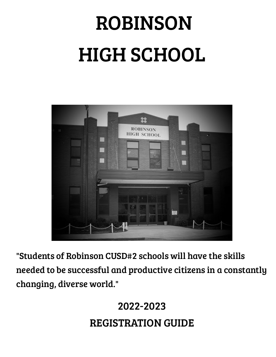# ROBINSON HIGH SCHOOL



"Students of Robinson CUSD#2 schools will have the skills needed to be successful and productive citizens in a constantly changing, diverse world."

## 2022-2023 REGISTRATION GUIDE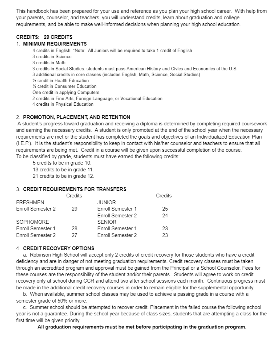This handbook has been prepared for your use and reference as you plan your high school career. With help from your parents, counselor, and teachers, you will understand credits, learn about graduation and college requirements, and be able to make well-informed decisions when planning your high school education.

## **CREDITS: 29 CREDITS**

## 1. MINIMUM REQUIREMENTS

4 credits in English \*Note: All Juniors will be required to take 1 credit of English 3 credits in Science 3 credits in Math 3 credits in Social Studies: students must pass American History and Civics and Economics of the U.S. 3 additional credits in core classes (includes English, Math, Science, Social Studies) 1/2 credit in Health Education 1/2 credit in Consumer Education One credit in applying Computers 2 credits in Fine Arts, Foreign Language, or Vocational Education 4 credits in Physical Education

## 2. PROMOTION, PLACEMENT, AND RETENTION

A student's progress toward graduation and receiving a diploma is determined by completing required coursework and earning the necessary credits. A student is only promoted at the end of the school year when the necessary requirements are met or the student has completed the goals and objectives of an Individualized Education Plan (I.E.P.). It is the student's responsibility to keep in contact with his/her counselor and teachers to ensure that all requirements are being met. Credit in a course will be given upon successful completion of the course. To be classified by grade, students must have earned the following credits:

5 credits to be in grade 10.

13 credits to be in grade 11.

21 credits to be in grade 12.

## 3. CREDIT REQUIREMENTS FOR TRANSFERS

| Credits |                   | Credits |
|---------|-------------------|---------|
|         | <b>JUNIOR</b>     |         |
| 29      | Enroll Semester 1 | 25      |
|         | Enroll Semester 2 | 24      |
|         | <b>SENIOR</b>     |         |
| 28      | Enroll Semester 1 | 23      |
| 27      | Enroll Semester 2 | 23      |
|         |                   |         |

## 4. CREDIT RECOVERY OPTIONS

a. Robinson High School will accept only 2 credits of credit recovery for those students who have a credit deficiency and are in danger of not meeting graduation requirements. Credit recovery classes must be taken through an accredited program and approval must be gained from the Principal or a School Counselor. Fees for these courses are the responsibility of the student and/or their parents. Students will agree to work on credit recovery only at school during CCR and attend two after school sessions each month. Continuous progress must be made in the additional credit recovery courses in order to remain eligible for the supplemental opportunity.

b. When available, summer school classes may be used to achieve a passing grade in a course with a semester grade of 50% or more.

c. Summer school should be attempted to recover credit. Placement in the failed course the following school year is not a guarantee. During the school year because of class sizes, students that are attempting a class for the first time will be given priority.

## All graduation requirements must be met before participating in the graduation program.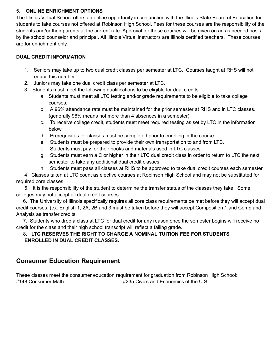#### 5. **ONLINE ENRICHMENT OPTIONS**

The Illinois Virtual School offers an online opportunity in conjunction with the Illinois State Board of Education for students to take courses not offered at Robinson High School. Fees for these courses are the responsibility of the students and/or their parents at the current rate. Approval for these courses will be given on an as needed basis by the school counselor and principal. All Illinois Virtual instructors are Illinois certified teachers. These courses are for enrichment only.

#### **DUAL CREDIT INFORMATION**

- 1. Seniors may take up to two dual credit classes per semester at LTC. Courses taught at RHS will not reduce this number.
- 2. Juniors may take one dual credit class per semester at LTC.
- 3. Students must meet the following qualifications to be eligible for dual credits:
	- a. Students must meet all LTC testing and/or grade requirements to be eligible to take college courses.
	- b. A 96% attendance rate must be maintained for the prior semester at RHS and in LTC classes. (generally 96% means not more than 4 absences in a semester)
	- c. To receive college credit, students must meet required testing as set by LTC in the information below.
	- d. Prerequisites for classes must be completed prior to enrolling in the course.
	- e. Students must be prepared to provide their own transportation to and from LTC.
	- f. Students must pay for their books and materials used in LTC classes.
	- g. Students must earn a C or higher in their LTC dual credit class in order to return to LTC the next semester to take any additional dual credit classes.
	- h. Students must pass all classes at RHS to be approved to take dual credit courses each semester.

4. Classes taken at LTC count as elective courses at Robinson High School and may not be substituted for required core classes.

5. It is the responsibility of the student to determine the transfer status of the classes they take. Some colleges may not accept all dual credit courses.

6. The University of Illinois specifically requires all core class requirements be met before they will accept dual credit courses. (ex. English 1, 2A, 2B and 3 must be taken before they will accept Composition 1 and Comp and Analysis as transfer credits.

7. Students who drop a class at LTC for dual credit for any reason once the semester begins will receive no credit for the class and their high school transcript will reflect a failing grade.

## 8. **LTC RESERVES THE RIGHT TO CHARGE A NOMINAL TUITION FEE FOR STUDENTS ENROLLED IN DUAL CREDIT CLASSES.**

## **Consumer Education Requirement**

These classes meet the consumer education requirement for graduation from Robinson High School: #148 Consumer Math **#235 Civics and Economics of the U.S.**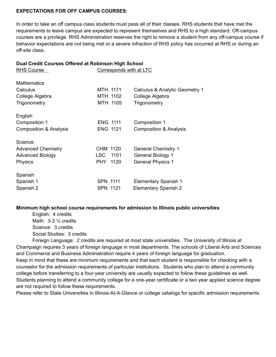#### **EXPECTATIONS FOR OFF CAMPUS COURSES:**

In order to take an off campus class students must pass all of their classes. RHS students that have met the requirements to leave campus are expected to represent themselves and RHS to a high standard. Off-campus courses are a privilege. RHS Administration reserves the right to remove a student from any off-campus course if behavior expectations are not being met or a severe infraction of RHS policy has occurred at RHS or during an off-site class.

#### **Dual Credit Courses Offered at Robinson High School**

| <b>RHS Course</b>                 | Corresponds with at LTC |                                   |
|-----------------------------------|-------------------------|-----------------------------------|
| <b>Mathematics</b>                |                         |                                   |
| Calculus                          | MTH 1171                | Calculus & Analytic Geometry 1    |
| College Algebra                   | MTH 1102                | College Algebra                   |
| Trigonometry                      | MTH 1105                | Trigonometry                      |
| English                           |                         |                                   |
| Composition 1                     | <b>ENG 1111</b>         | Composition 1                     |
| <b>Composition &amp; Analysis</b> | <b>ENG 1121</b>         | <b>Composition &amp; Analysis</b> |
| Science                           |                         |                                   |
| <b>Advanced Chemistry</b>         | CHM 1120                | <b>General Chemistry 1</b>        |
| <b>Advanced Biology</b>           | <b>LSC</b><br>1101      | <b>General Biology 1</b>          |
| <b>Physics</b>                    | PHY.<br>1120            | <b>General Physics 1</b>          |
| Spanish                           |                         |                                   |
| Spanish 1                         | SPN 1111                | <b>Elementary Spanish 1</b>       |
| Spanish 2                         | <b>SPN 1121</b>         | <b>Elementary Spanish 2</b>       |
|                                   |                         |                                   |

#### **Minimum high school course requirements for admission to Illinois public universities**:

English: 4 credits Math: 3-3 ½ credits Science: 3 credits Social Studies: 3 credits

Foreign Language: 2 credits are required at most state universities. The University of Illinois at Champaign requires 3 years of foreign language in most departments. The schools of Liberal Arts and Sciences and Commerce and Business Administration require 4 years of foreign language for graduation. Keep in mind that these are minimum requirements and that each student is responsible for checking with a counselor for the admission requirements of particular institutions. Students who plan to attend a community college before transferring to a four-year university are usually expected to follow these guidelines as well. Students planning to attend a community college for a one-year certificate or a two year applied science degree are not required to follow these requirements.

Please refer to State Universities in Illinois-At-A-Glance or college catalogs for specific admission requirements.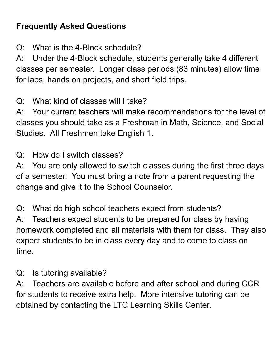## **Frequently Asked Questions**

Q: What is the 4-Block schedule?

A: Under the 4-Block schedule, students generally take 4 different classes per semester. Longer class periods (83 minutes) allow time for labs, hands on projects, and short field trips.

Q: What kind of classes will I take?

A: Your current teachers will make recommendations for the level of classes you should take as a Freshman in Math, Science, and Social Studies. All Freshmen take English 1.

Q: How do I switch classes?

A: You are only allowed to switch classes during the first three days of a semester. You must bring a note from a parent requesting the change and give it to the School Counselor.

Q: What do high school teachers expect from students?

A: Teachers expect students to be prepared for class by having homework completed and all materials with them for class. They also expect students to be in class every day and to come to class on time.

Q: Is tutoring available?

A: Teachers are available before and after school and during CCR for students to receive extra help. More intensive tutoring can be obtained by contacting the LTC Learning Skills Center.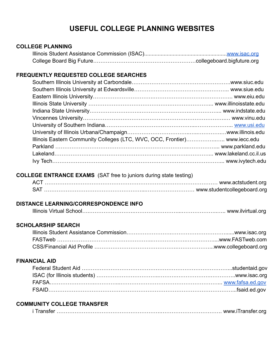## **USEFUL COLLEGE PLANNING WEBSITES**

## **COLLEGE PLANNING** Illinois Student Assistance Commission (ISAC).......................................................[www.isac.org](http://www.isac.org/) College Board Big Future…………………………………………………collegeboard.bigfuture.org **FREQUENTLY REQUESTED COLLEGE SEARCHES** Southern Illinois University at Carbondale……………………………………………….www.siuc.edu Southern Illinois University at Edwardsville…………………………………………….. www.siue.edu Eastern Illinois University…………………………….…………………………………….. www.eiu.edu Illinois State University ……………………………………….…………………... www.illinoisstate.edu Indiana State University……………………….……………………….……………... www.indstate.edu Vincennes University…………………………………………………………………….… www.vinu.edu University of Southern Indiana…………………………………………...………………... [www.usi.edu](http://www.usi.edu/) University of Illinois Urbana/Champaign……………………………..…..………….…www.illinois.edu Illinois Eastern Community Colleges (LTC, WVC, OCC, Frontier)……………..….. www.iecc.edu Parkland ………………………………………………………………..……………... www.parkland.edu Lakeland………………………………………………………….…….…………... www.lakeland.cc.il.us Ivy Tech…………………………………………………………………………………... www.ivytech.edu

## **COLLEGE ENTRANCE EXAMS** (SAT free to juniors during state testing)

| AC <sup>-</sup> |  |
|-----------------|--|
|                 |  |

## **DISTANCE LEARNING/CORRESPONDENCE INFO**

## **SCHOLARSHIP SEARCH**

| FASTweb …………………………………………………………………………………………www.FASTweb.com |  |
|-----------------------------------------------------------|--|
|                                                           |  |

## **FINANCIAL AID**

## **COMMUNITY COLLEGE TRANSFER**

| i Transfer …………………………………………………………………………………… www.iTransfer.org |  |
|---------------------------------------------------------------|--|
|---------------------------------------------------------------|--|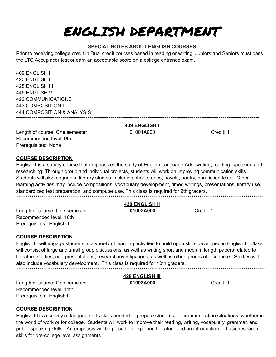## ENGLISH DEPARTMENT

## **SPECIAL NOTES ABOUT ENGLISH COURSES**

Prior to receiving college credit in Dual credit courses based in reading or writing, Juniors and Seniors must pass the LTC Accuplacer test or earn an acceptable score on a college entrance exam.

409 ENGLISH I 420 ENGLISH II 428 ENGLISH III 445 FNGLISH VI **422 COMMUNICATIONS** 443 COMPOSITION I **444 COMPOSITION & ANALYSIS** 

#### 409 ENGLISH I

01001A000

Credit: 1

Length of course: One semester Recommended level: 9th Prerequisites: None

#### **COURSE DESCRIPTION**

English 1 is a survey course that emphasizes the study of English Language Arts: writing, reading, speaking and researching. Through group and individual projects, students will work on improving communication skills. Students will also engage in literary studies, including short stories, novels, poetry, non-fiction texts. Other learning activities may include compositions, vocabulary development, timed writings, presentations, library use, standardized test preparation, and computer use. This class is required for 9th graders. 

## 420 ENGLISH II

01002A000

Credit: 1

Length of course: One semester Recommended level: 10th Prerequisites: English 1

## **COURSE DESCRIPTION**

English II will engage students in a variety of learning activities to build upon skills developed in English I. Class will consist of large and small group discussions, as well as writing short and medium length papers related to literature studies, oral presentations, research investigations, as well as other genres of discourse. Studies will also include vocabulary development. This class is required for 10th graders. \*\*\*\*\*\*\*\*\*\*\*\*\*\*\*\*\*\*\* 

Length of course: One semester Recommended level: 11th Prerequisites: English II

## **COURSE DESCRIPTION**

English III is a survey of language arts skills needed to prepare students for communication situations, whether in the world of work or for college. Students will work to improve their reading, writing, vocabulary, grammar, and public speaking skills. An emphasis will be placed on exploring literature and an introduction to basic research skills for pre-college level assignments.

**428 ENGLISH III** 01003A000

Credit: 1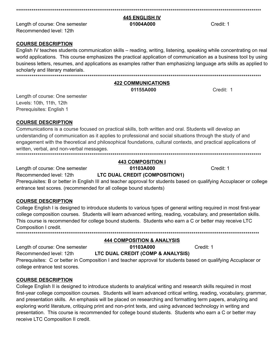#### **445 ENGLISH IV**

#### 01004A000

Length of course: One semester Recommended level: 12th

#### **COURSE DESCRIPTION**

English IV teaches students communication skills – reading, writing, listening, speaking while concentrating on real world applications. This course emphasizes the practical application of communication as a business tool by using business letters, resumes, and applications as examples rather than emphasizing language arts skills as applied to scholarly and literary materials. 

#### **422 COMMUNICATIONS**

01155A000

Credit: 1

Credit: 1

Length of course: One semester Levels: 10th, 11th, 12th Prerequisites: English 1

## **COURSE DESCRIPTION**

Communications is a course focused on practical skills, both written and oral. Students will develop an understanding of communication as it applies to professional and social situations through the study of and engagement with the theoretical and philosophical foundations, cultural contexts, and practical applications of written, verbal, and non-verbal messages.

## **443 COMPOSITION I**

Length of course: One semester Recommended level: 12th

01103A000 LTC DUAL CREDIT (COMPOSITION1)

Prerequisites: B or better in English III and teacher approval for students based on qualifying Accuplacer or college entrance test scores. (recommended for all college bound students)

## **COURSE DESCRIPTION**

College English I is designed to introduce students to various types of general writing required in most first-year college composition courses. Students will learn advanced writing, reading, vocabulary, and presentation skills. This course is recommended for college bound students. Students who earn a C or better may receive LTC Composition I credit. 

Length of course: One semester Recommended level: 12th

## **444 COMPOSITION & ANALYSIS**

LTC DUAL CREDIT (COMP & ANALYSIS)

01103A000

Credit: 1

Prerequisites: C or better in Composition I and teacher approval for students based on qualifying Accuplacer or college entrance test scores.

## **COURSE DESCRIPTION**

College English II is designed to introduce students to analytical writing and research skills required in most first-year college composition courses. Students will learn advanced critical writing, reading, vocabulary, grammar, and presentation skills. An emphasis will be placed on researching and formatting term papers, analyzing and exploring world literature, critiquing print and non-print texts, and using advanced technology in writing and presentation. This course is recommended for college bound students. Students who earn a C or better may receive LTC Composition II credit.

Credit: 1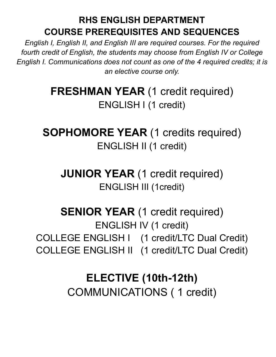## **RHS ENGLISH DEPARTMENT COURSE PREREQUISITES AND SEQUENCES**

*English I, English II, and English III are required courses. For the required fourth credit of English, the students may choose from English IV or College English I. Communications does not count as one of the 4 required credits; it is an elective course only.*

> **FRESHMAN YEAR (1 credit required)** ENGLISH I (1 credit)

**SOPHOMORE YEAR** (1 credits required) ENGLISH II (1 credit)

**JUNIOR YEAR** (1 credit required) ENGLISH III (1credit)

**SENIOR YEAR (1 credit required)** ENGLISH IV (1 credit) COLLEGE ENGLISH I (1 credit/LTC Dual Credit) COLLEGE ENGLISH II (1 credit/LTC Dual Credit)

## **ELECTIVE (10th-12th)** COMMUNICATIONS ( 1 credit)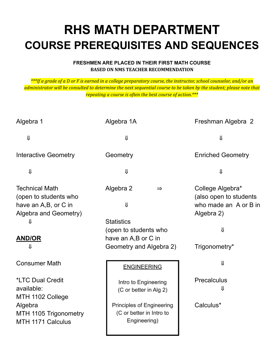## **RHS MATH DEPARTMENT COURSE PREREQUISITES AND SEQUENCES**

## **FRESHMEN ARE PLACED IN THEIR FIRST MATH COURSE BASED ON NMS TEACHER RECOMMENDATION**

\*\*\*If a grade of a D or F is earned in a college preparatory course, the instructor, school counselor, and/or an administrator will be consulted to determine the next sequential course to be taken by the student; please note that *repeating a course is often the best course of action.\*\*\**

| Algebra 1                                                                                            | Algebra 1A                                                              | Freshman Algebra 2                                                                |
|------------------------------------------------------------------------------------------------------|-------------------------------------------------------------------------|-----------------------------------------------------------------------------------|
| $\Downarrow$                                                                                         | ⇓                                                                       | ⇓                                                                                 |
| <b>Interactive Geometry</b>                                                                          | Geometry                                                                | <b>Enriched Geometry</b>                                                          |
| $\downarrow$                                                                                         | $\downarrow$                                                            | $\downarrow$                                                                      |
| <b>Technical Math</b><br>(open to students who<br>have an A,B, or C in<br>Algebra and Geometry)<br>⇓ | Algebra 2<br>$\Rightarrow$<br>⇓<br><b>Statistics</b>                    | College Algebra*<br>(also open to students<br>who made an A or B in<br>Algebra 2) |
| <b>AND/OR</b><br>⇓                                                                                   | (open to students who<br>have an A,B or C in<br>Geometry and Algebra 2) | ⇓<br>Trigonometry*                                                                |
| <b>Consumer Math</b>                                                                                 | <b>ENGINEERING</b>                                                      | ⇓                                                                                 |
| *LTC Dual Credit<br>available:<br>MTH 1102 College                                                   | Intro to Engineering<br>(C or better in Alg 2)                          | <b>Precalculus</b>                                                                |
| Algebra<br>MTH 1105 Trigonometry<br>MTH 1171 Calculus                                                | Principles of Engineering<br>(C or better in Intro to<br>Engineering)   | Calculus*                                                                         |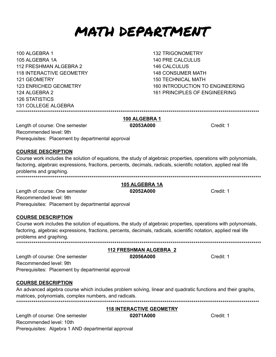## MATH DEPARTMENT

100 ALGEBRA 1 105 ALGEBRA 1A 112 FRESHMAN ALGEBRA 2 **118 INTERACTIVE GEOMETRY** 121 GEOMETRY **123 ENRICHED GEOMETRY** 124 AI GFBRA 2 **126 STATISTICS 131 COLLEGE ALGEBRA** 

**132 TRIGONOMETRY 140 PRE CALCULUS 146 CALCULUS 148 CONSUMER MATH 150 TECHNICAL MATH** 160 INTRODUCTION TO ENGINEERING 161 PRINCIPI ES OF FNGINFFRING

100 ALGEBRA 1 Length of course: One semester 02053A000 Recommended level: 9th Prerequisites: Placement by departmental approval

## **COURSE DESCRIPTION**

Course work includes the solution of equations, the study of algebraic properties, operations with polynomials, factoring, algebraic expressions, fractions, percents, decimals, radicals, scientific notation, applied real life problems and graphing. 

#### 105 ALGEBRA 1A 02052A000

Length of course: One semester Recommended level: 9th Prerequisites: Placement by departmental approval

## **COURSE DESCRIPTION**

Course work includes the solution of equations, the study of algebraic properties, operations with polynomials, factoring, algebraic expressions, fractions, percents, decimals, radicals, scientific notation, applied real life problems and graphing. 

**112 FRESHMAN ALGEBRA 2** 02056A000 Length of course: One semester Recommended level: 9th Prerequisites: Placement by departmental approval

## **COURSE DESCRIPTION**

An advanced algebra course which includes problem solving, linear and quadratic functions and their graphs, matrices, polynomials, complex numbers, and radicals. 

#### **118 INTERACTIVE GEOMETRY**

Length of course: One semester Recommended level: 10th Prerequisites: Algebra 1 AND departmental approval

Credit: 1

Credit: 1

Credit: 1

02071A000

Credit: 1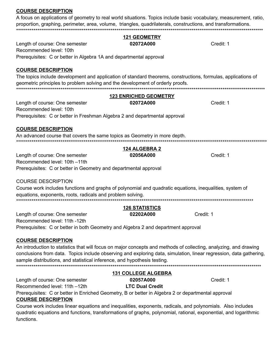#### **COURSE DESCRIPTION**

A focus on applications of geometry to real world situations. Topics include basic vocabulary, measurement, ratio, proportion, graphing, perimeter, area, volume, triangles, quadrilaterals, constructions, and transformations. \*\*\*\*

**121 GEOMETRY** 

| Length of course: One semester                                                                                     | 02072A000                    | Credit: 1 |
|--------------------------------------------------------------------------------------------------------------------|------------------------------|-----------|
| Recommended level: 10th                                                                                            |                              |           |
| Prerequisites: C or better in Algebra 1A and departmental approval                                                 |                              |           |
| <b>COURSE DESCRIPTION</b>                                                                                          |                              |           |
| The topics include development and application of standard theorems, constructions, formulas, applications of      |                              |           |
| geometric principles to problem solving and the development of orderly proofs.                                     |                              |           |
|                                                                                                                    | <b>123 ENRICHED GEOMETRY</b> |           |
| Length of course: One semester                                                                                     | 02072A000                    | Credit: 1 |
| Recommended level: 10th                                                                                            |                              |           |
| Prerequisites: C or better in Freshman Algebra 2 and departmental approval                                         |                              |           |
| <b>COURSE DESCRIPTION</b>                                                                                          |                              |           |
| An advanced course that covers the same topics as Geometry in more depth.                                          |                              |           |
|                                                                                                                    | <b>124 ALGEBRA 2</b>         |           |
| Length of course: One semester                                                                                     | 02056A000                    | Credit: 1 |
| Recommended level: 10th -11th                                                                                      |                              |           |
| Prerequisites: C or better in Geometry and departmental approval                                                   |                              |           |
| <b>COURSE DESCRIPTION</b>                                                                                          |                              |           |
| Course work includes functions and graphs of polynomial and quadratic equations, inequalities, system of           |                              |           |
| equations, exponents, roots, radicals and problem solving.                                                         |                              |           |
|                                                                                                                    | <b>126 STATISTICS</b>        |           |
| Length of course: One semester                                                                                     | 02202A000                    | Credit: 1 |
| Recommended level: 11th -12th                                                                                      |                              |           |
| Prerequisites: C or better in both Geometry and Algebra 2 and department approval                                  |                              |           |
| <b>COURSE DESCRIPTION</b>                                                                                          |                              |           |
| An introduction to statistics that will focus on major concepts and methods of collecting, analyzing, and drawing  |                              |           |
| conclusions from data. Topics include observing and exploring data, simulation, linear regression, data gathering, |                              |           |
| sample distributions, and statistical inference, and hypothesis testing.                                           |                              |           |
|                                                                                                                    | <b>131 COLLEGE ALGEBRA</b>   |           |
| Length of course: One semester                                                                                     | 02057A000                    | Credit: 1 |
| Recommended level: 11th -12th                                                                                      | <b>LTC Dual Credit</b>       |           |

Prerequisites: C or better in Enriched Geometry, B or better in Algebra 2 or departmental approval **COURSE DESCRIPTION** 

Course work includes linear equations and inequalities, exponents, radicals, and polynomials. Also includes quadratic equations and functions, transformations of graphs, polynomial, rational, exponential, and logarithmic functions.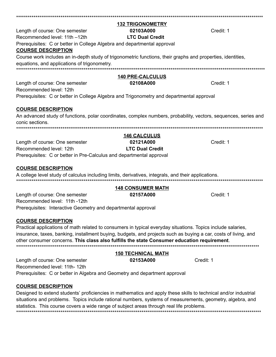|                                                                                                                                                             | <b>132 TRIGONOMETRY</b>  |           |
|-------------------------------------------------------------------------------------------------------------------------------------------------------------|--------------------------|-----------|
| Length of course: One semester                                                                                                                              | 02103A000                | Credit: 1 |
| Recommended level: 11th -12th                                                                                                                               | <b>LTC Dual Credit</b>   |           |
| Prerequisites: C or better in College Algebra and departmental approval                                                                                     |                          |           |
| <u>COURSE DESCRIPTION</u>                                                                                                                                   |                          |           |
| Course work includes an in-depth study of trigonometric functions, their graphs and properties, identities,<br>equations, and applications of trigonometry. |                          |           |
|                                                                                                                                                             | <b>140 PRE-CALCULUS</b>  |           |
| Length of course: One semester                                                                                                                              | 02108A000                | Credit: 1 |
| Recommended level: 12th                                                                                                                                     |                          |           |
| Prerequisites: C or better in College Algebra and Trigonometry and departmental approval                                                                    |                          |           |
|                                                                                                                                                             |                          |           |
| <b>COURSE DESCRIPTION</b>                                                                                                                                   |                          |           |
| An advanced study of functions, polar coordinates, complex numbers, probability, vectors, sequences, series and                                             |                          |           |
| conic sections.                                                                                                                                             |                          |           |
|                                                                                                                                                             |                          |           |
|                                                                                                                                                             | <b>146 CALCULUS</b>      |           |
| Length of course: One semester                                                                                                                              | 02121A000                | Credit: 1 |
| Recommended level: 12th                                                                                                                                     | <b>LTC Dual Credit</b>   |           |
| Prerequisites: C or better in Pre-Calculus and departmental approval                                                                                        |                          |           |
|                                                                                                                                                             |                          |           |
| <b>COURSE DESCRIPTION</b>                                                                                                                                   |                          |           |
| A college level study of calculus including limits, derivatives, integrals, and their applications.                                                         |                          |           |
|                                                                                                                                                             | <b>148 CONSUMER MATH</b> |           |
| Length of course: One semester                                                                                                                              | 02157A000                | Credit: 1 |
| Recommended level: 11th -12th                                                                                                                               |                          |           |
| Prerequisites: Interactive Geometry and departmental approval                                                                                               |                          |           |
|                                                                                                                                                             |                          |           |

#### **COURSE DESCRIPTION**

Practical applications of math related to consumers in typical everyday situations. Topics include salaries, insurance, taxes, banking, installment buying, budgets, and projects such as buying a car, costs of living, and other consumer concerns. This class also fulfills the state Consumer education requirement. 

|                                                                            | <b>150 TECHNICAL MATH</b> |           |
|----------------------------------------------------------------------------|---------------------------|-----------|
| Length of course: One semester                                             | 02153A000                 | Credit: 1 |
| Recommended level: 11th- 12th                                              |                           |           |
| Prerequisites: C or better in Algebra and Geometry and department approval |                           |           |

#### **COURSE DESCRIPTION**

Designed to extend students' proficiencies in mathematics and apply these skills to technical and/or industrial situations and problems. Topics include rational numbers, systems of measurements, geometry, algebra, and statistics. This course covers a wide range of subject areas through real life problems.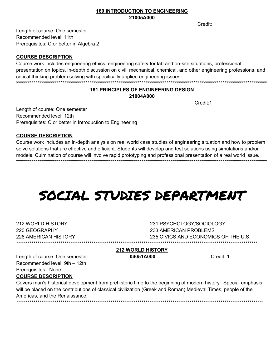#### **160 INTRODUCTION TO ENGINEERING** 21005A000

Credit: 1

Length of course: One semester Recommended level: 11th Prerequisites: C or better in Algebra 2

#### **COURSE DESCRIPTION**

Course work includes engineering ethics, engineering safety for lab and on-site situations, professional presentation on topics, in-depth discussion on civil, mechanical, chemical, and other engineering professions, and critical thinking problem solving with specifically applied engineering issues.

## **161 PRINCIPLES OF ENGINEERING DESIGN**

#### 21004A000

Credit<sup>-1</sup>

Length of course: One semester Recommended level: 12th Prerequisites: C or better in Introduction to Engineering

#### **COURSE DESCRIPTION**

Course work includes an in-depth analysis on real world case studies of engineering situation and how to problem solve solutions that are effective and efficient. Students will develop and test solutions using simulations and/or models. Culmination of course will involve rapid prototyping and professional presentation of a real world issue.

## SOCIAL STUDIES DEPARTMENT

212 WORLD HISTORY 220 GEOGRAPHY 226 AMERICAN HISTORY

231 PSYCHOLOGY/SOCIOLOGY 233 AMERICAN PROBLEMS 235 CIVICS AND ECONOMICS OF THE U.S. 

## **212 WORLD HISTORY**

04051A000

Credit: 1

Length of course: One semester Recommended level: 9th - 12th Prerequisites: None **COURSE DESCRIPTION** 

Covers man's historical development from prehistoric time to the beginning of modern history. Special emphasis will be placed on the contributions of classical civilization (Greek and Roman) Medieval Times, people of the Americas, and the Renaissance.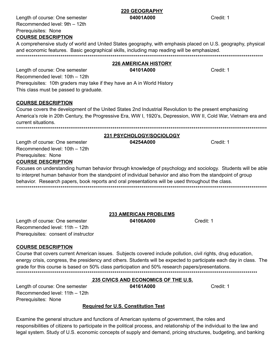#### **220 GEOGRAPHY** 04001A000

Length of course: One semester Recommended level: 9th - 12th Prerequisites: None **COURSE DESCRIPTION** 

A comprehensive study of world and United States geography, with emphasis placed on U.S. geography, physical and economic features. Basic geographical skills, including map reading will be emphasized. 

## **226 AMERICAN HISTORY**

Credit: 1

04101A000 Length of course: One semester Recommended level: 10th - 12th Prerequisites: 10th graders may take if they have an A in World History This class must be passed to graduate.

## **COURSE DESCRIPTION**

Course covers the development of the United States 2nd Industrial Revolution to the present emphasizing America's role in 20th Century, the Progressive Era, WW I, 1920's, Depression, WW II, Cold War, Vietnam era and current situations.

04254A000

#### 231 PSYCHOLOGY/SOCIOLOGY

Length of course: One semester Recommended level: 10th - 12th Prerequisites: None **COURSE DESCRIPTION** 

Focuses on understanding human behavior through knowledge of psychology and sociology. Students will be able to interpret human behavior from the standpoint of individual behavior and also from the standpoint of group behavior. Research papers, book reports and oral presentations will be used throughout the class.

## **233 AMERICAN PROBLEMS**

04106A000

Credit: 1

Length of course: One semester Recommended level: 11th - 12th Prerequisites: consent of instructor

## **COURSE DESCRIPTION**

Course that covers current American issues. Subjects covered include pollution, civil rights, drug education, energy crisis, congress, the presidency and others. Students will be expected to participate each day in class. The grade for this course is based on 50% class participation and 50% research papers/presentations. 

## **235 CIVICS AND ECONOMICS OF THE U.S.**

04161A000

Credit: 1

Length of course: One semester Recommended level: 11th - 12th Prerequisites: None

## **Required for U.S. Constitution Test**

Examine the general structure and functions of American systems of government, the roles and responsibilities of citizens to participate in the political process, and relationship of the individual to the law and legal system. Study of U.S. economic concepts of supply and demand, pricing structures, budgeting, and banking

Credit: 1

Credit: 1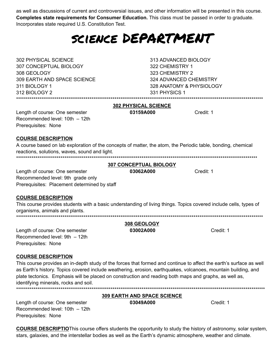as well as discussions of current and controversial issues, and other information will be presented in this course. Completes state requirements for Consumer Education. This class must be passed in order to graduate. Incorporates state required U.S. Constitution Test.

## SCIENCE DEPARTMENT

302 PHYSICAL SCIENCE 307 CONCEPTUAL BIOLOGY 308 GEOLOGY 309 EARTH AND SPACE SCIENCE 311 BIOLOGY 1 312 BIOLOGY 2 

313 ADVANCED BIOLOGY 322 CHEMISTRY 1 323 CHEMISTRY 2 324 ADVANCED CHEMISTRY 328 ANATOMY & PHYSIOLOGY 331 PHYSICS 1

Credit: 1

#### **302 PHYSICAL SCIENCE** 03159A000

Length of course: One semester Recommended level: 10th - 12th Prerequisites: None

## **COURSE DESCRIPTION**

| A course based on lab exploration of the concepts of matter, the atom, the Periodic table, bonding, chemical                                                                    |                               |           |
|---------------------------------------------------------------------------------------------------------------------------------------------------------------------------------|-------------------------------|-----------|
| reactions, solutions, waves, sound and light.                                                                                                                                   |                               |           |
|                                                                                                                                                                                 |                               |           |
|                                                                                                                                                                                 | <b>307 CONCEPTUAL BIOLOGY</b> |           |
| Length of course: One semester                                                                                                                                                  | 03062A000                     | Credit: 1 |
| Recommended level: 9th grade only                                                                                                                                               |                               |           |
| Prerequisites: Placement determined by staff                                                                                                                                    |                               |           |
| <b>COURSE DESCRIPTION</b>                                                                                                                                                       |                               |           |
| This course provides students with a basic understanding of living things. Topics covered include cells, types of<br>organisms, animals and plants.<br>************************ |                               |           |
|                                                                                                                                                                                 | 308 GEOLOGY                   |           |
| Length of course: One semester                                                                                                                                                  | 03002A000                     | Credit: 1 |
| Recommended level: 9th - 12th                                                                                                                                                   |                               |           |
| Prerequisites: None                                                                                                                                                             |                               |           |

## **COURSE DESCRIPTION**

This course provides an in-depth study of the forces that formed and continue to affect the earth's surface as well as Earth's history. Topics covered include weathering, erosion, earthquakes, volcanoes, mountain building, and plate tectonics. Emphasis will be placed on construction and reading both maps and graphs, as well as, identifying minerals, rocks and soil. 

**309 EARTH AND SPACE SCIENCE** 

03049A000

Credit: 1

Length of course: One semester Recommended level: 10th - 12th Prerequisites: None

**COURSE DESCRIPTIO**This course offers students the opportunity to study the history of astronomy, solar system, stars, galaxies, and the interstellar bodies as well as the Earth's dynamic atmosphere, weather and climate.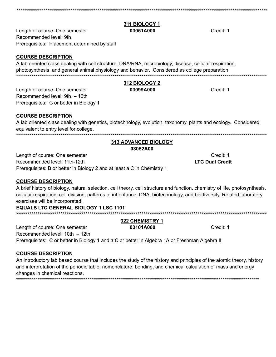## **311 BIOLOGY 1**

#### 03051A000

312 BIOLOGY 2

03099A000

Length of course: One semester Recommended level: 9th Prerequisites: Placement determined by staff

#### **COURSE DESCRIPTION**

A lab oriented class dealing with cell structure, DNA/RNA, microbiology, disease, cellular respiration, photosynthesis, and general animal physiology and behavior. Considered as college preparation. 

Length of course: One semester Recommended level: 9th - 12th Prerequisites: C or better in Biology 1

#### **COURSE DESCRIPTION**

A lab oriented class dealing with genetics, biotechnology, evolution, taxonomy, plants and ecology. Considered equivalent to entry level for college. 

## 313 ADVANCED BIOLOGY

03052A00

Length of course: One semester Recommended level: 11th-12th Prerequisites: B or better in Biology 2 and at least a C in Chemistry 1

#### **COURSE DESCRIPTION**

A brief history of biology, natural selection, cell theory, cell structure and function, chemistry of life, photosynthesis, cellular respiration, cell division, patterns of inheritance, DNA, biotechnology, and biodiversity. Related laboratory exercises will be incorporated.

#### **EQUALS LTC GENERAL BIOLOGY 1 LSC 1101**

#### 322 CHEMISTRY 1

03101A000

Credit: 1

#### **COURSE DESCRIPTION**

Length of course: One semester

Recommended level: 10th - 12th

An introductory lab based course that includes the study of the history and principles of the atomic theory, history and interpretation of the periodic table, nomenclature, bonding, and chemical calculation of mass and energy changes in chemical reactions.

Prerequisites: C or better in Biology 1 and a C or better in Algebra 1A or Freshman Algebra II

Credit: 1

Credit: 1

Credit: 1 **LTC Dual Credit**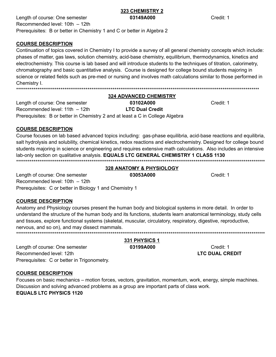#### 323 CHEMISTRY 2 03149A000

Length of course: One semester Recommended level: 10th - 12th Prerequisites: B or better in Chemistry 1 and C or better in Algebra 2

## **COURSE DESCRIPTION**

Continuation of topics covered in Chemistry I to provide a survey of all general chemistry concepts which include: phases of matter, gas laws, solution chemistry, acid-base chemistry, equilibrium, thermodynamics, kinetics and electrochemistry. This course is lab based and will introduce students to the techniques of titration, calorimetry, chromatography and basic quantitative analysis. Course is designed for college bound students majoring in science or related fields such as pre-med or nursing and involves math calculations similar to those performed in Chemistrv I.

#### **324 ADVANCED CHEMISTRY** 03102A000 Length of course: One semester **LTC Dual Credit** Recommended level: 11th - 12th Prerequisites: B or better in Chemistry 2 and at least a C in College Algebra

Credit: 1

Credit: 1

**COURSE DESCRIPTION** 

Course focuses on lab based advanced topics including: gas-phase equilibria, acid-base reactions and equilibria, salt hydrolysis and solubility, chemical kinetics, redox reactions and electrochemistry. Designed for college bound students majoring in science or engineering and requires extensive math calculations. Also includes an intensive lab-only section on qualitative analysis. EQUALS LTC GENERAL CHEMISTRY 1 CLASS 1130

#### **328 ANATOMY & PHYSIOLOGY**

Length of course: One semester 03053A000 Recommended level: 10th - 12th Prerequisites: C or better in Biology 1 and Chemistry 1

## **COURSE DESCRIPTION**

Anatomy and Physiology courses present the human body and biological systems in more detail. In order to understand the structure of the human body and its functions, students learn anatomical terminology, study cells and tissues, explore functional systems (skeletal, muscular, circulatory, respiratory, digestive, reproductive, nervous, and so on), and may dissect mammals. 

Length of course: One semester Recommended level: 12th Prerequisites: C or better in Trigonometry.

#### **COURSE DESCRIPTION**

Focuses on basic mechanics – motion forces, vectors, gravitation, momentum, work, energy, simple machines. Discussion and solving advanced problems as a group are important parts of class work.

**EQUALS LTC PHYSICS 1120** 

Credit: 1

Credit: 1 **LTC DUAL CREDIT** 

331 PHYSICS 1

03199A000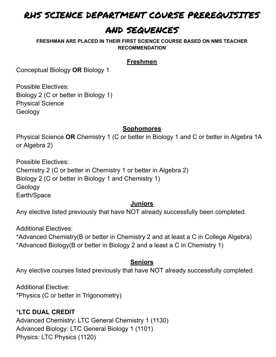## RHS SCIENCE DEPARTMENT COURSE PREREQUISITES

## AND SEQUENCES

**FRESHMAN ARE PLACED IN THEIR FIRST SCIENCE COURSE BASED ON NMS TEACHER RECOMMENDATION**

## **Freshmen**

Conceptual Biology **OR** Biology 1

Possible Electives: Biology 2 (C or better in Biology 1) Physical Science Geology

## **Sophomores**

Physical Science **OR** Chemistry 1 (C or better in Biology 1 and C or better in Algebra 1A or Algebra 2)

Possible Electives: Chemistry 2 (C or better in Chemistry 1 or better in Algebra 2) Biology 2 (C or better in Biology 1 and Chemistry 1) Geology Earth/Space

## **Juniors**

Any elective listed previously that have NOT already successfully been completed.

Additional Electives:

\*Advanced Chemistry(B or better in Chemistry 2 and at least a C in College Algebra) \*Advanced Biology(B or better in Biology 2 and a least a C in Chemistry 1)

## **Seniors**

Any elective courses listed previously that have NOT already successfully completed.

Additional Elective: \*Physics (C or better in Trigonometry)

## \***LTC DUAL CREDIT**

Advanced Chemistry: LTC General Chemistry 1 (1130) Advanced Biology: LTC General Biology 1 (1101) Physics: LTC Physics (1120)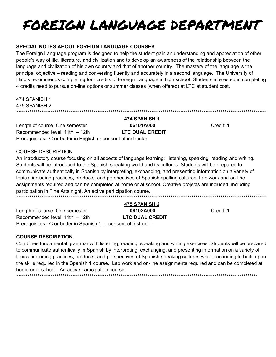## FOREIGN LANGUAGE DEPARTMENT

## SPECIAL NOTES ABOUT FOREIGN LANGUAGE COURSES

The Foreign Language program is designed to help the student gain an understanding and appreciation of other people's way of life, literature, and civilization and to develop an awareness of the relationship between the language and civilization of his own country and that of another country. The mastery of the language is the principal objective – reading and conversing fluently and accurately in a second language. The University of Illinois recommends completing four credits of Foreign Language in high school. Students interested in completing 4 credits need to pursue on-line options or summer classes (when offered) at LTC at student cost.

474 SPANISH 1

#### 474 SPANISH 1 475 SPANISH 2

Length of course: One semester 06101A000 Recommended level: 11th - 12th **LTC DUAL CREDIT** Prerequisites: C or better in English or consent of instructor

Credit: 1

#### **COURSE DESCRIPTION**

An introductory course focusing on all aspects of language learning: listening, speaking, reading and writing. Students will be introduced to the Spanish-speaking world and its cultures. Students will be prepared to communicate authentically in Spanish by interpreting, exchanging, and presenting information on a variety of topics, including practices, products, and perspectives of Spanish spelling cultures. Lab work and on-line assignments required and can be completed at home or at school. Creative projects are included, including participation in Fine Arts night. An active participation course.

475 SPANISH 2 Length of course: One semester 06102A000 **LTC DUAL CREDIT** Recommended level:  $11th - 12th$ Prerequisites: C or better in Spanish 1 or consent of instructor

Credit: 1

## **COURSE DESCRIPTION**

Combines fundamental grammar with listening, reading, speaking and writing exercises . Students will be prepared to communicate authentically in Spanish by interpreting, exchanging, and presenting information on a variety of topics, including practices, products, and perspectives of Spanish-speaking cultures while continuing to build upon the skills required in the Spanish 1 course. Lab work and on-line assignments required and can be completed at home or at school. An active participation course.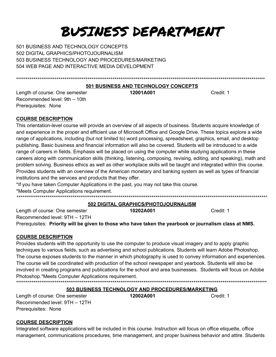## BUSINESS DEPARTMENT

501 BUSINESS AND TECHNOLOGY CONCEPTS 502 DIGITAL GRAPHICS/PHOTOJOURNALISM 503 BUSINESS TECHNOLOGY AND PROCEDURES/MARKETING 504 WEB PAGE AND INTERACTIVE MEDIA DEVELOPMENT

#### 501 BUSINESS AND TECHNOLOGY CONCEPTS

Length of course: One semester Recommended level: 9th - 10th Prerequisites: None

12001A001

Credit: 1

#### **COURSE DESCRIPTION**

This orientation-level course will provide an overview of all aspects of business. Students acquire knowledge of and experience in the proper and efficient use of Microsoft Office and Google Drive. These topics explore a wide range of applications, including (but not limited to) word processing, spreadsheet, graphics, email, and desktop publishing. Basic business and financial information will also be covered. Students will be introduced to a wide range of careers in fields. Emphasis will be placed on using the computer while studying applications in these careers along with communication skills (thinking, listening, composing, revising, editing, and speaking), math and problem solving. Business ethics as well as other workplace skills will be taught and integrated within this course. Provides students with an overview of the American monetary and banking system as well as types of financial institutions and the services and products that they offer.

\*If you have taken Computer Applications in the past, you may not take this course.

\*Meets Computer Applications requirement.

#### 502 DIGITAL GRAPHICS/PHOTOJOURNALISM

Length of course: One semester 10202A001 Credit: 1 Recommended level: 9TH - 12TH Prerequisites: Priority will be given to those who have taken the yearbook or journalism class at NMS.

#### **COURSE DESCRIPTION**

Provides students with the opportunity to use the computer to produce visual imagery and to apply graphic techniques to various fields, such as advertising and school publications. Students will learn Adobe Photoshop. The course exposes students to the manner in which photography is used to convey information and experiences. The course will be coordinated with production of the school newspaper and yearbook. Students will also be involved in creating programs and publications for the school and area businesses. Students will focus on Adobe Photoshop.\*Meets Computer Applications requirement. \*\*\*\*\*\*\*\*\*\*\*\*\*\*\*\*\*\*\*\*\*\*\*\*\*\*\*\*\*\*\*\*\*\*

#### 503 BUSINESS TECHNOLOGY AND PROCEDURES/MARKETING

Length of course: One semester Recommended level: 9TH - 12TH Prerequisites: None

12002A001

Credit: 1

## **COURSE DESCRIPTION**

Integrated software applications will be included in this course. Instruction will focus on office etiquette, office management, communications procedures, time management, and proper business behavior and attire. Students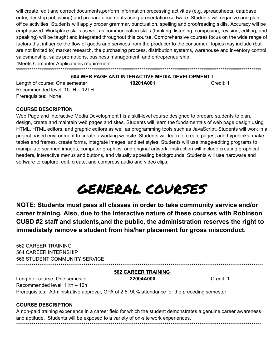will create, edit and correct documents,perform information processing activities (e.g. spreadsheets, database entry, desktop publishing) and prepare documents using presentation software. Students will organize and plan office activities. Students will apply proper grammar, punctuation, spelling and proofreading skills. Accuracy will be emphasized. Workplace skills as well as communication skills (thinking, listening, composing, revising, editing, and speaking) will be taught and integrated throughout this course. Comprehensive courses focus on the wide range of factors that influence the flow of goods and services from the producer to the consumer. Topics may include (but are not limited to) market research, the purchasing process, distribution systems, warehouse and inventory control, salesmanship, sales promotions, business management, and entrepreneurship. \*Meets Computer Applications requirement.

\*\*\*\*\*\*\*\*\*\*\*\*\*\*\*\*\*\*\*\*\*\*\*\*\*\*\*\*\*\*\*\*\*\*\*\*\*\*\*\*\*\*\*\*\*\*\*\*\*\*\*\*\*\*\*\*\*\*\*\*\*\*\*\*\*\*\*\*\*\*\*\*\*\*\*\*\*\*\*\*\*\*\*\*\*\*\*\*\*\*\*\*\*\*\*\*\*\*\*\*\*\*\*\*\*\*\*\*\*\*\*\*\*\*\*\*\*\*\*\*\*\*\*\*\*\*\*

#### **504 WEB PAGE AND INTERACTIVE MEDIA DEVELOPMENT I**

Length of course: One semester **10201A001** Credit: 1 Recommended level: 10TH – 12TH Prerequisites: None

#### **COURSE DESCRIPTION**

Web Page and Interactive Media Development I is a skill-level course designed to prepare students to plan, design, create and maintain web pages and sites. Students will learn the fundamentals of web page design using HTML, HTML editors, and graphic editors as well as programming tools such as JavaScript. Students will work in a project based environment to create a working website. Students will learn to create pages, add hyperlinks, make tables and frames, create forms, integrate images, and set styles. Students will use image-editing programs to manipulate scanned images, computer graphics, and original artwork. Instruction will include creating graphical headers, interactive menus and buttons, and visually appealing backgrounds. Students will use hardware and software to capture, edit, create, and compress audio and video clips.

## GENERAL COURSES

**NOTE: Students must pass all classes in order to take community service and/or career training. Also, due to the interactive nature of these courses with Robinson CUSD #2 staff and students,and the public, the administration reserves the right to immediately remove a student from his/her placement for gross misconduct.**

 CAREER TRAINING CAREER INTERNSHIP STUDENT COMMUNITY SERVICE \*\*\*\*\*\*\*\*\*\*\*\*\*\*\*\*\*\*\*\*\*\*\*\*\*\*\*\*\*\*\*\*\*\*\*\*\*\*\*\*\*\*\*\*\*\*\*\*\*\*\*\*\*\*\*\*\*\*\*\*\*\*\*\*\*\*\*\*\*\*\*\*\*\*\*\*\*\*\*\*\*\*\*\*\*\*\*\*\*\*\*\*\*\*\*\*\*\*\*\*\*\*\*\*\*\*\*\*\*\*\*\*\*\*\*\*\*\*\*\*\*\*\*\*\*\*\*\*

**562 CAREER TRAINING**

Length of course: One semester **22004A000** Credit: 1 Recommended level: 11th – 12h Prerequisites: Administrative approval, GPA of 2.5, 90% attendance for the preceding semester

#### **COURSE DESCRIPTION**

A non-paid training experience in a career field for which the student demonstrates a genuine career awareness and aptitude. Students will be exposed to a variety of on-site work experiences. \*\*\*\*\*\*\*\*\*\*\*\*\*\*\*\*\*\*\*\*\*\*\*\*\*\*\*\*\*\*\*\*\*\*\*\*\*\*\*\*\*\*\*\*\*\*\*\*\*\*\*\*\*\*\*\*\*\*\*\*\*\*\*\*\*\*\*\*\*\*\*\*\*\*\*\*\*\*\*\*\*\*\*\*\*\*\*\*\*\*\*\*\*\*\*\*\*\*\*\*\*\*\*\*\*\*\*\*\*\*\*\*\*\*\*\*\*\*\*\*\*\*\*\*\*\*\*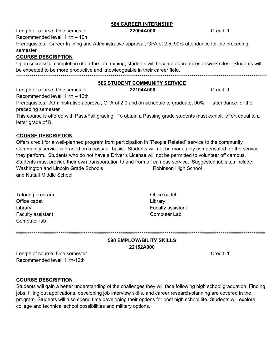#### **564 CAREER INTERNSHIP**

Length of course: One semester

Recommended level: 11th - 12h Prerequisites: Career training and Administrative approval, GPA of 2.5, 90% attendance for the preceding

#### semester

#### **COURSE DESCRIPTION**

| Upon successful completion of on-the-job training, students will become apprentices at work sites. Students will |
|------------------------------------------------------------------------------------------------------------------|
| be expected to be more productive and knowledgeable in their career field.                                       |
|                                                                                                                  |

#### **566 STUDENT COMMUNITY SERVICE** 22104A000

Length of course: One semester

Recommended level: 11th - 12th Prerequisites: Administrative approval, GPA of 2.0 and on schedule to graduate, 90% attendance for the preceding semester.

This course is offered with Pass/Fail grading. To obtain a Passing grade students must exhibit effort equal to a letter grade of B.

#### **COURSE DESCRIPTION**

Offers credit for a well-planned program from participation in "People Related" service to the community. Community service is graded on a pass/fail basis. Students will not be monetarily compensated for the service they perform. Students who do not have a Driver's License will not be permitted to volunteer off campus. Students must provide their own transportation to and from off campus service. Suggested job sites include: Washington and Lincoln Grade Schools Robinson High School and Nuttall Middle School

| Tutoring program         |
|--------------------------|
| Office cadet             |
| Library                  |
| <b>Faculty assistant</b> |
| Computer lab             |

Office cadet Library Faculty assistant **Computer Lab** 

#### **580 EMPLOYABILITY SKILLS** 22152A000

Length of course: One semester Recommended level: 11th-12th

Credit: 1

#### **COURSE DESCRIPTION**

Students will gain a better understanding of the challenges they will face following high school graduation. Finding jobs, filling out applications, developing job interview skills, and career research/planning are covered in the program. Students will also spend time developing their options for post high school life. Students will explore college and technical school possibilities and military options.

22004A000

Credit: 1

Credit: 1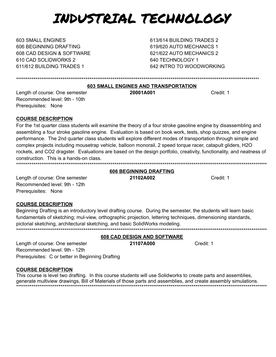## INDUSTRIAL TECHNOLOGY

**603 SMALL ENGINES** 606 BEGINNING DRAFTING 608 CAD DESIGN & SOFTWARE 610 CAD SOLIDWORKS 2 611/612 BUILDING TRADES 1

613/614 BUILDING TRADES 2 619/620 AUTO MECHANICS 1 621/622 AUTO MECHANICS 2 640 TECHNOLOGY 1 642 INTRO TO WOODWORKING

#### 603 SMALL ENGINES AND TRANSPORTATION

Length of course: One semester Recommended level: 9th - 10th Prerequisites: None

20001A001

Credit: 1

#### **COURSE DESCRIPTION**

For the 1st quarter class students will examine the theory of a four stroke gasoline engine by disassembling and assembling a four stroke gasoline engine. Evaluation is based on book work, tests, shop quizzes, and engine performance. The 2nd quarter class students will explore different modes of transportation through simple and complex projects including mousetrap vehicle, balloon monorail, 2 speed torque racer, catapult gliders, H2O rockets, and CO2 dragster. Evaluations are based on the design portfolio, creativity, functionality, and neatness of construction. This is a hands-on class. 

#### **606 BEGINNING DRAFTING** 21102A002

Credit: 1

Credit: 1

Length of course: One semester Recommended level: 9th - 12th Prerequisites: None

#### **COURSE DESCRIPTION**

Beginning Drafting is an introductory level drafting course. During the semester, the students will learn basic fundamentals of sketching; mul-view, orthographic projection, lettering techniques, dimensioning standards, pictorial sketching, architectural sketching, and basic SolidWorks modeling. 

608 CAD DESIGN AND SOFTWARE

21107A000

Length of course: One semester Recommended level: 9th - 12th Prerequisites: C or better in Beginning Drafting

## **COURSE DESCRIPTION**

This course is level two drafting. In this course students will use Solidworks to create parts and assemblies, generate multiview drawings, Bill of Materials of those parts and assemblies, and create assembly simulations.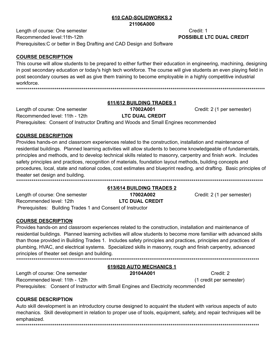#### 610 CAD-SOLIDWORKS 2 21106A000

Length of course: One semester Recommended level: 11th-12th Prerequisites: C or better in Beg Drafting and CAD Design and Software

#### **COURSE DESCRIPTION**

This course will allow students to be prepared to either further their education in engineering, machining, designing in post secondary education or today's high tech workforce. The course will give students an even playing field in post secondary courses as well as give them training to become employable in a highly competitive industrial workforce. 

#### 611/612 BUILDING TRADES 1 17002A001

Credit: 2 (1 per semester)

**LTC DUAL CREDIT** Recommended level: 11th - 12th Prerequisites: Consent of Instructor Drafting and Woods and Small Engines recommended

## **COURSE DESCRIPTION**

Length of course: One semester

Provides hands-on and classroom experiences related to the construction, installation and maintenance of residential buildings. Planned learning activities will allow students to become knowledgeable of fundamentals, principles and methods, and to develop technical skills related to masonry, carpentry and finish work. Includes safety principles and practices, recognition of materials, foundation layout methods, building concepts and procedures, local, state and national codes, cost estimates and blueprint reading, and drafting. Basic principles of theater set design and building. 

613/614 BUILDING TRADES 2 Length of course: One semester 17002A002 **LTC DUAL CREDIT** Recommended level: 12th Prerequisites: Building Trades 1 and Consent of Instructor

Credit: 2 (1 per semester)

#### **COURSE DESCRIPTION**

Provides hands-on and classroom experiences related to the construction, installation and maintenance of residential buildings. Planned learning activities will allow students to become more familiar with advanced skills than those provided in Building Trades 1. Includes safety principles and practices, principles and practices of plumbing, HVAC, and electrical systems. Specialized skills in masonry, rough and finish carpentry, advanced principles of theater set design and building.

#### 619/620 AUTO MECHANICS 1

Credit: 2 (1 credit per semester)

Length of course: One semester 20104A001 Recommended level: 11th - 12th Prerequisites: Consent of Instructor with Small Engines and Electricity recommended

## **COURSE DESCRIPTION**

Auto skill development is an introductory course designed to acquaint the student with various aspects of auto mechanics. Skill development in relation to proper use of tools, equipment, safety, and repair techniques will be emphasized.

Credit: 1 **POSSIBLE LTC DUAL CREDIT**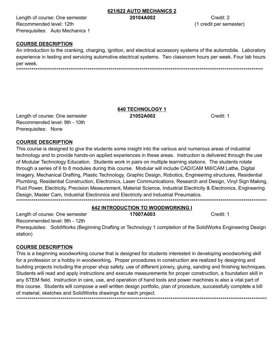Length of course: One semester Recommended level: 12th Prerequisites: Auto Mechanics 1

#### 621/622 AUTO MECHANICS 2 20104A002

Credit: 2 (1 credit per semester)

Credit: 1

## **COURSE DESCRIPTION**

An introduction to the cranking, charging, ignition, and electrical accessory systems of the automobile. Laboratory experience in testing and servicing automotive electrical systems. Two classroom hours per week. Four lab hours per week.

#### **640 TECHNOLOGY 1** 21052A002

Length of course: One semester Recommended level: 9th - 10th Prerequisites: None

#### **COURSE DESCRIPTION**

This course is designed to give the students some insight into the various and numerous areas of industrial technology and to provide hands-on applied experiences in these areas. Instruction is delivered through the use of Modular Technology Education. Students work in pairs on multiple learning stations. The students rotate through a series of 6 to 8 modules during this course. Modular will include CAD/CAM Mill/CAM Lathe, Digital Imagery, Mechanical Drafting, Plastic Technology, Graphic Design, Robotics, Engineering structures, Residential Plumbing, Residential Construction, Electronics, Laser Communications, Research and Design, Vinyl Sign Making, Fluid Power, Electricity, Precision Measurement, Material Science, Industrial Electricity & Electronics, Engineering Design, Master Cam, Industrial Electronics and Electricity and Industrial Pneumatics. 

#### **642 INTRODUCTION TO WOODWORKING I**

Length of course: One semester 17007A003 Credit: 1 Recommended level: 9th - 12th Prerequisites: SolidWorks (Beginning Drafting or Technology 1 completion of the SolidWorks Engineering Design station)

#### **COURSE DESCRIPTION**

This is a beginning woodworking course that is designed for students interested in developing woodworking skill for a profession or a hobby in woodworking. Proper procedures in construction are realized by designing and building projects including the proper shop safety, use of different joinery, gluing, sanding and finishing techniques. Students will read and apply instructions and execute measurements for proper construction, a foundation skill in any STEM field. Instruction in care, use, and operation of hand tools and power machines is also a vital part of this course. Students will compose a well written design portfolio, plan of procedure, successfully complete a bill of material, sketches and SolidWorks drawings for each project.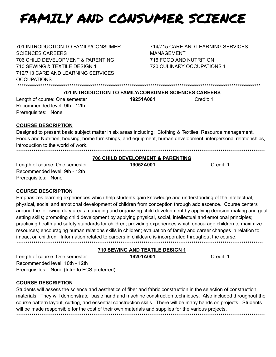## FAMILY AND CONSUMER SCIENCE

701 INTRODUCTION TO FAMILY/CONSUMER **SCIENCES CAREERS** 706 CHILD DEVELOPMENT & PARENTING 710 SEWING & TEXTILE DESIGN 1 712/713 CARE AND LEARNING SERVICES **OCCUPATIONS** 

714/715 CARE AND LEARNING SERVICES **MANAGEMENT** 716 FOOD AND NUTRITION 720 CULINARY OCCUPATIONS 1

#### **701 INTRODUCTION TO FAMILY/CONSUMER SCIENCES CAREERS**

Length of course: One semester Recommended level: 9th - 12th Prerequisites: None

19251A001

Credit: 1

#### **COURSE DESCRIPTION**

Designed to present basic subject matter in six areas including: Clothing & Textiles, Resource management, Foods and Nutrition, housing, home furnishings, and equipment, human development, interpersonal relationships, introduction to the world of work.

#### **706 CHILD DEVELOPMENT & PARENTING**

Length of course: One semester Recommended level: 9th - 12th Prerequisites: None

19052A001

Credit: 1

#### **COURSE DESCRIPTION**

Emphasizes learning experiences which help students gain knowledge and understanding of the intellectual, physical, social and emotional development of children from conception through adolescence. Course centers around the following duty areas managing and organizing child development by applying decision-making and goal setting skills; promoting child development by applying physical, social, intellectual and emotional principles; practicing health and safety standards for children; providing experiences which encourage children to maximize resources; encouraging human relations skills in children; evaluation of family and career changes in relation to impact on children. Information related to careers in childcare is incorporated throughout the course. 

#### 710 SEWING AND TEXTILE DESIGN 1

19201A001

Credit: 1

Length of course: One semester Recommended level: 10th - 12th Prerequisites: None (Intro to FCS preferred)

#### **COURSE DESCRIPTION**

Students will assess the science and aesthetics of fiber and fabric construction in the selection of construction materials. They will demonstrate basic hand and machine construction techniques. Also included throughout the course pattern layout, cutting, and essential construction skills. There will be many hands on projects. Students will be made responsible for the cost of their own materials and supplies for the various projects.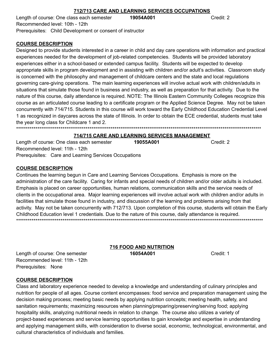#### 712/713 CARE AND LEARNING SERVICES OCCUPATIONS

Length of course: One class each semester 19054A001 Recommended level: 10th - 12th Prerequisites: Child Development or consent of instructor

#### **COURSE DESCRIPTION**

Designed to provide students interested in a career in child and day care operations with information and practical experiences needed for the development of job-related competencies. Students will be provided laboratory experiences either in a school-based or extended campus facility. Students will be expected to develop appropriate skills in program development and in assisting with children and/or adult's activities. Classroom study is concerned with the philosophy and management of childcare centers and the state and local regulations governing care-giving operations. The main learning experiences will involve actual work with children/adults in situations that simulate those found in business and industry, as well as preparation for that activity. Due to the nature of this course, daily attendance is required. NOTE: The Illinois Eastern Community Colleges recognize this course as an articulated course leading to a certificate program or the Applied Science Degree. May not be taken concurrently with 714/715. Students in this course will work toward the Early Childhood Education Credential Level 1 as recognized in daycares across the state of Illinois. In order to obtain the ECE credential, students must take the vear long class for Childcare 1 and 2. 

## 714/715 CARE AND LEARNING SERVICES MANAGEMENT

Length of course: One class each semester Recommended level: 11th - 12th Prerequisites: Care and Learning Services Occupations

#### **COURSE DESCRIPTION**

Continues the learning begun in Care and Learning Services Occupations. Emphasis is more on the administration of the care facility. Caring for infants and special needs of children and/or older adults is included. Emphasis is placed on career opportunities, human relations, communication skills and the service needs of clients in the occupational area. Major learning experiences will involve actual work with children and/or adults in facilities that simulate those found in industry, and discussion of the learning and problems arising from that activity. May not be taken concurrently with 712/713. Upon completion of this course, students will obtain the Early Childhood Education level 1 credentials. Due to the nature of this course, daily attendance is required. 

> **716 FOOD AND NUTRITION** 16054A001

Credit: 1

## **COURSE DESCRIPTION**

Prerequisites: None

Length of course: One semester

Recommended level: 11th - 12th

Class and laboratory experience needed to develop a knowledge and understanding of culinary principles and nutrition for people of all ages. Course content encompasses: food service and preparation management using the decision making process; meeting basic needs by applying nutrition concepts; meeting health, safety, and sanitation requirements; maximizing resources when planning/preparing/preserving/serving food; applying hospitality skills, analyzing nutritional needs in relation to change. The course also utilizes a variety of project-based experiences and service learning opportunities to gain knowledge and expertise in understanding and applying management skills, with consideration to diverse social, economic, technological, environmental, and cultural characteristics of individuals and families.

Credit: 2

19055A001

Credit: 2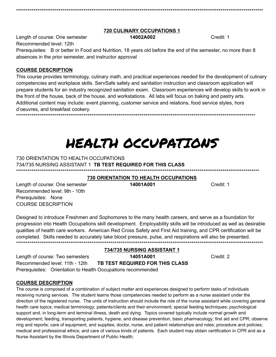#### **720 CULINARY OCCUPATIONS 1** 14002A002

Length of course: One semester Recommended level: 12th

Prerequisites: B or better in Food and Nutrition, 18 years old before the end of the semester, no more than 8 absences in the prior semester, and instructor approval

## **COURSE DESCRIPTION**

This course provides terminology, culinary math, and practical experiences needed for the development of culinary competencies and workplace skills. ServSafe safety and sanitation instruction and classroom application will prepare students for an industry recognized sanitation exam. Classroom experiences will develop skills to work in the front of the house, back of the house, and workstations. All labs will focus on baking and pastry arts. Additional content may include: event planning, customer service and relations, food service styles, hors d'oeuvres, and breakfast cookery. 

## HEALTH OCCUPATIONS

## 730 ORIENTATION TO HEALTH OCCUPATIONS 734/735 NURSING ASSISTANT 1 TB TEST REQUIRED FOR THIS CLASS

**730 ORIENTATION TO HEALTH OCCUPATIONS** 14001A001

Credit: 1

Credit: 1

Length of course: One semester Recommended level: 9th - 10th Prerequisites: None **COURSE DESCRIPTION** 

Designed to introduce Freshmen and Sophomores to the many health careers, and serve as a foundation for progression into Health Occupations skill development. Employability skills will be introduced as well as desirable qualities of health care workers. American Red Cross Safety and First Aid training, and CPR certification will be completed. Skills needed to accurately take blood pressure, pulse, and respirations will also be presented. 

Length of course: Two semesters Recommended level: 11th - 12th Prerequisites: Orientation to Health Occupations recommended

734/735 NURSING ASSISTANT 1 14051A001 TB TEST REQUIRED FOR THIS CLASS

Credit: 2

**COURSE DESCRIPTION** 

The course is composed of a combination of subject matter and experiences designed to perform tasks of individuals receiving nursing services. The student learns those competencies needed to perform as a nurse assistant under the direction of the registered nurse. The units of instruction should include the role of the nurse assistant while covering general health care topics; medical terminology; patients/clients and their environment; special feeding techniques; psychological support and, in long-term and terminal illness, death and dying. Topics covered typically include normal growth and development; feeding, transporting patients, hygiene, and disease prevention; basic pharmacology; first aid and CPR; observe ring and reports; care of equipment, and supplies; doctor, nurse, and patient relationships and roles; procedure and policies; medical and professional ethics; and care of various kinds of patients. Each student may obtain certification in CPR and as a Nurse Assistant by the Illinois Department of Public Health.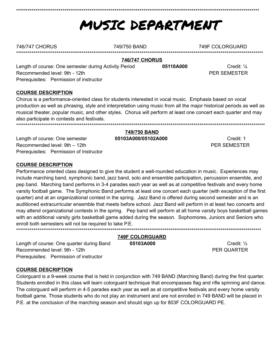## MUSIC DEPARTMENT

05110A000

| 746/747 CHORUS | 749/750 BAND | 749F COLORGUARD |
|----------------|--------------|-----------------|
|                |              |                 |

#### **746/747 CHORUS**

Length of course: One semester during Activity Period Recommended level: 9th - 12th Prerequisites: Permission of instructor

**COURSE DESCRIPTION** 

Chorus is a performance-oriented class for students interested in vocal music. Emphasis based on vocal production as well as phrasing, style and interpretation using music from all the major historical periods as well as musical theater, popular music, and other styles. Chorus will perform at least one concert each quarter and may also participate in contests and festivals. 

Length of course: One semester Recommended level: 9th - 12th Prerequisites: Permission of Instructor

#### 749/750 BAND 05103A000/05102A000

Credit: 1 PFR SEMESTER

Credit:  $\frac{1}{4}$ 

**PER SEMESTER** 

## **COURSE DESCRIPTION**

Performance oriented class designed to give the student a well-rounded education in music. Experiences may include marching band, symphonic band, jazz band, solo and ensemble participation, percussion ensemble, and pep band. Marching band performs in 3-4 parades each year as well as at competitive festivals and every home varsity football game. The Symphonic Band performs at least one concert each quarter (with exception of the first quarter) and at an organizational contest in the spring. Jazz Band is offered during second semester and is an auditioned extracurricular ensemble that meets before school. Jazz Band will perform in at least two concerts and may attend organizational contests in the spring. Pep band will perform at all home varsity boys basketball games with an additional varsity girls basketball game added during the season. Sophomores, Juniors and Seniors who enroll both semesters will not be required to take P.E. 

> **749F COLORGUARD** 05103A000

Credit: 1/2 PER QUARTER

Length of course: One quarter during Band Recommended level: 9th - 12th Prerequisites: Permission of instructor

## **COURSE DESCRIPTION**

Colorguard is a 9-week course that is held in conjunction with 749 BAND (Marching Band) during the first quarter. Students enrolled in this class will learn colorguard technique that encompasses flag and rifle spinning and dance. The colorguard will perform in 4-5 parades each year as well as at competitive festivals and every home varsity football game. Those students who do not play an instrument and are not enrolled in 749 BAND will be placed in P.E. at the conclusion of the marching season and should sign up for 803F COLORGUARD PE.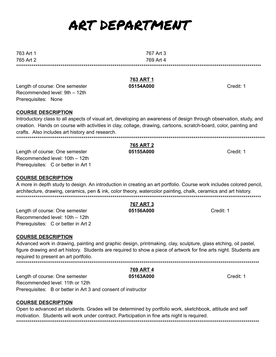## ART DEPARTMENT

763 Art 1 765 Art 2

Length of course: One semester Recommended level: 9th - 12th Prerequisites: None

## **COURSE DESCRIPTION**

Introductory class to all aspects of visual art, developing an awareness of design through observation, study, and creation. Hands on course with activities in clay, collage, drawing, cartoons, scratch-board, color, painting and crafts. Also includes art history and research. 

**765 ART 2** 

05155A000

Length of course: One semester Recommended level: 10th - 12th Prerequisites: C or better in Art 1

## **COURSE DESCRIPTION**

A more in depth study to design. An introduction in creating an art portfolio. Course work includes colored pencil, architecture, drawing, ceramics, pen & ink, color theory, watercolor painting, chalk, ceramics and art history. 

> **767 ART 3** 05156A000

Length of course: One semester Recommended level: 10th - 12th Prerequisites: C or better in Art 2

## **COURSE DESCRIPTION**

Advanced work in drawing, painting and graphic design, printmaking, clay, sculpture, glass etching, oil pastel, figure drawing and art history. Students are required to show a piece of artwork for fine arts night. Students are required to present an art portfolio.

769 ART 4 05163A000 Length of course: One semester Recommended level: 11th or 12th Prerequisites: B or better in Art 3 and consent of instructor

## **COURSE DESCRIPTION**

Open to advanced art students. Grades will be determined by portfolio work, sketchbook, attitude and self motivation. Students will work under contract. Participation in fine arts night is required. 

763 ART 1 05154A000

Credit: 1

Credit: 1

Credit: 1

Credit: 1



767 Art 3

769 Art 4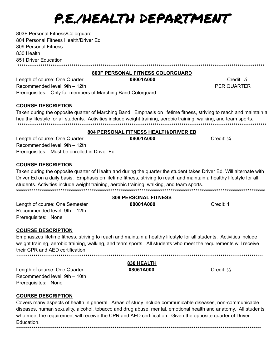## P.E./HEALTH DEPARTMENT

803F Personal Fitness/Colorguard 804 Personal Fitness Health/Driver Ed 809 Personal Fitness 830 Health 851 Driver Education \*\*\*\*\*\*\*\*\*\*\*\*\*\*\*\*\*\*\*\*\*\*\*\*\*\*\*\*\*\*\*\*\*\*\*\*\*\* 

803F PERSONAL FITNESS COLORGUARD

08001A000 Length of course: One Quarter Recommended level: 9th - 12th Prerequisites: Only for members of Marching Band Colorguard

## **COURSE DESCRIPTION**

Taken during the opposite quarter of Marching Band. Emphasis on lifetime fitness, striving to reach and maintain a healthy lifestyle for all students. Activities include weight training, aerobic training, walking, and team sports. 

#### **804 PERSONAL FITNESS HEALTH/DRIVER ED**

Length of course: One Quarter Recommended level: 9th - 12th Prerequisites: Must be enrolled in Driver Ed

## **COURSE DESCRIPTION**

Taken during the opposite quarter of Health and during the quarter the student takes Driver Ed. Will alternate with Driver Ed on a daily basis. Emphasis on lifetime fitness, striving to reach and maintain a healthy lifestyle for all students. Activities include weight training, aerobic training, walking, and team sports. 

#### **809 PERSONAL FITNESS** 08001A000

Credit: 1

Length of course: One Semester Recommended level: 9th - 12th Prerequisites: None

## **COURSE DESCRIPTION**

Emphasizes lifetime fitness, striving to reach and maintain a healthy lifestyle for all students. Activities include weight training, aerobic training, walking, and team sports. All students who meet the requirements will receive their CPR and AED certification.

#### 830 HEALTH

#### 08051A000

Credit:  $\frac{1}{2}$ 

**COURSE DESCRIPTION** 

Prerequisites: None

Length of course: One Quarter

Recommended level: 9th - 10th

Covers many aspects of health in general. Areas of study include communicable diseases, non-communicable diseases, human sexuality, alcohol, tobacco and drug abuse, mental, emotional health and anatomy. All students who meet the requirement will receive the CPR and AED certification. Given the opposite quarter of Driver Education. 

08001A000

Credit: 1/4

Credit:  $\frac{1}{2}$ 

PER QUARTER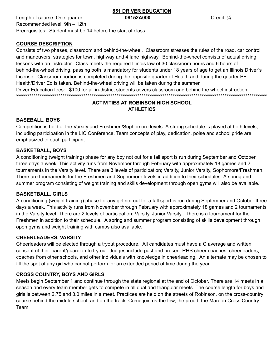## **851 DRIVER EDUCATION**

Length of course: One quarter **08152A000** Credit: <sup>1/4</sup> Recommended level: 9th – 12th Prerequisites: Student must be 14 before the start of class.

## **COURSE DESCRIPTION**

Consists of two phases, classroom and behind-the-wheel. Classroom stresses the rules of the road, car control and maneuvers, strategies for town, highway and 4 lane highway. Behind-the-wheel consists of actual driving lessons with an instructor. Class meets the required Illinois law of 30 classroom hours and 6 hours of behind-the-wheel driving, passing both is mandatory for students under 18 years of age to get an Illinois Driver's License. Classroom portion is completed during the opposite quarter of Health and during the quarter PE Health/Driver Ed is taken. Behind-the-wheel driving will be taken during the summer. Driver Education fees: \$100 for all in-district students covers classroom and behind the wheel instruction. \*\*\*\*\*\*\*\*\*\*\*\*\*\*\*\*\*\*\*\*\*\*\*\*\*\*\*\*\*\*\*\*\*\*\*\*\*\*\*\*\*\*\*\*\*\*\*\*\*\*\*\*\*\*\*\*\*\*\*\*\*\*\*\*\*\*\*\*\*\*\*\*\*\*\*\*\*\*\*\*\*\*\*\*\*\*\*\*\*\*\*\*\*\*\*\*\*\*\*\*\*\*\*\*\*\*\*\*\*\*\*\*\*\*\*\*\*\*\*\*\*\*\*\*\*\*\*\*\*\*

## **ACTIVITIES AT ROBINSON HIGH SCHOOL ATHLETICS**

## **BASEBALL, BOYS**

Competition is held at the Varsity and Freshmen/Sophomore levels. A strong schedule is played at both levels, including participation in the LIC Conference. Team concepts of play, dedication, poise and school pride are emphasized to each participant.

## **BASKETBALL, BOYS**

A conditioning (weight training) phase for any boy not out for a fall sport is run during September and October three days a week. This activity runs from November through February with approximately 18 games and 2 tournaments in the Varsity level. There are 3 levels of participation; Varsity, Junior Varsity, Sophomore/Freshmen. There are tournaments for the Freshmen and Sophomore levels in addition to their schedules. A spring and summer program consisting of weight training and skills development through open gyms will also be available.

## **BASKETBALL, GIRLS**

A conditioning (weight training) phase for any girl not out for a fall sport is run during September and October three days a week. This activity runs from November through February with approximately 18 games and 2 tournaments in the Varsity level. There are 2 levels of participation; Varsity, Junior Varsity . There is a tournament for the Freshmen in addition to their schedule. A spring and summer program consisting of skills development through open gyms and weight training with camps also available.

## **CHEERLEADERS, VARSITY**

Cheerleaders will be elected through a tryout procedure. All candidates must have a C average and written consent of their parent/guardian to try out. Judges include past and present RHS cheer coaches, cheerleaders, coaches from other schools, and other individuals with knowledge in cheerleading. An alternate may be chosen to fill the spot of any girl who cannot perform for an extended period of time during the year.

## **CROSS COUNTRY, BOYS AND GIRLS**

Meets begin September 1 and continue through the state regional at the end of October. There are 14 meets in a season and every team member gets to compete in all dual and triangular meets. The course length for boys and girls is between 2.75 and 3.0 miles in a meet. Practices are held on the streets of Robinson, on the cross-country course behind the middle school, and on the track. Come join us-the few, the proud, the Maroon Cross Country Team.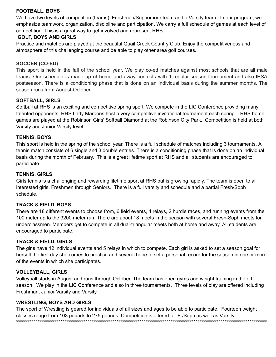#### **FOOTBALL, BOYS**

We have two levels of competition (teams) Freshmen/Sophomore team and a Varsity team. In our program, we emphasize teamwork, organization, discipline and participation. We carry a full schedule of games at each level of competition. This is a great way to get involved and represent RHS.

#### **GOLF, BOYS AND GIRLS**

Practice and matches are played at the beautiful Quail Creek Country Club. Enjoy the competitiveness and atmosphere of this challenging course and be able to play other area golf courses.

#### **SOCCER (CO-ED)**

This sport is held in the fall of the school year. We play co-ed matches against most schools that are all male teams. Our schedule is made up of home and away contests with 1 regular season tournament and also IHSA postseason. There is a conditioning phase that is done on an individual basis during the summer months. The season runs from August-October.

#### **SOFTBALL, GIRLS**

Softball at RHS is an exciting and competitive spring sport. We compete in the LIC Conference providing many talented opponents. RHS Lady Maroons host a very competitive invitational tournament each spring. RHS home games are played at the Robinson Girls' Softball Diamond at the Robinson City Park. Competition is held at both Varsity and Junior Varsity level.

#### **TENNIS, BOYS**

This sport is held in the spring of the school year. There is a full schedule of matches including 3 tournaments. A tennis match consists of 6 single and 3 double entries. There is a conditioning phase that is done on an individual basis during the month of February. This is a great lifetime sport at RHS and all students are encouraged to participate.

#### **TENNIS, GIRLS**

Girls tennis is a challenging and rewarding lifetime sport at RHS but is growing rapidly. The team is open to all interested girls, Freshmen through Seniors. There is a full varsity and schedule and a partial Fresh/Soph schedule.

#### **TRACK & FIELD, BOYS**

There are 18 different events to choose from, 6 field events, 4 relays, 2 hurdle races, and running events from the 100 meter up to the 3200 meter run. There are about 18 meets in the season with several Fresh-Soph meets for underclassmen. Members get to compete in all dual-triangular meets both at home and away. All students are encouraged to participate.

#### **TRACK & FIELD, GIRLS**

The girls have 12 individual events and 5 relays in which to compete. Each girl is asked to set a season goal for herself the first day she comes to practice and several hope to set a personal record for the season in one or more of the events in which she participates.

#### **VOLLEYBALL, GIRLS**

Volleyball starts in August and runs through October. The team has open gyms and weight training in the off season. We play in the LIC Conference and also in three tournaments. Three levels of play are offered including Freshman, Junior Varsity and Varsity.

#### **WRESTLING, BOYS AND GIRLS**

The sport of Wrestling is geared for individuals of all sizes and ages to be able to participate. Fourteen weight classes range from 103 pounds to 275 pounds. Competition is offered for Fr/Soph as well as Varsity. \*\*\*\*\*\*\*\*\*\*\*\*\*\*\*\*\*\*\*\*\*\*\*\*\*\*\*\*\*\*\*\*\*\*\*\*\*\*\*\*\*\*\*\*\*\*\*\*\*\*\*\*\*\*\*\*\*\*\*\*\*\*\*\*\*\*\*\*\*\*\*\*\*\*\*\*\*\*\*\*\*\*\*\*\*\*\*\*\*\*\*\*\*\*\*\*\*\*\*\*\*\*\*\*\*\*\*\*\*\*\*\*\*\*\*\*\*\*\*\*\*\*\*\*\*\*\*\*\*\*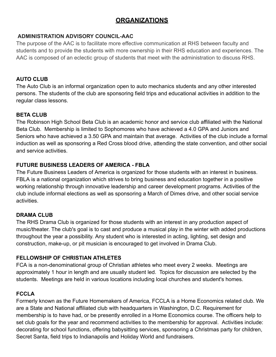## **ORGANIZATIONS**

## **ADMINISTRATION ADVISORY COUNCIL-AAC**

The purpose of the AAC is to facilitate more effective communication at RHS between faculty and students and to provide the students with more ownership in their RHS education and experiences. The AAC is composed of an eclectic group of students that meet with the administration to discuss RHS.

## **AUTO CLUB**

The Auto Club is an informal organization open to auto mechanics students and any other interested persons. The students of the club are sponsoring field trips and educational activities in addition to the regular class lessons.

## **BETA CLUB**

The Robinson High School Beta Club is an academic honor and service club affiliated with the National Beta Club. Membership is limited to Sophomores who have achieved a 4.0 GPA and Juniors and Seniors who have achieved a 3.50 GPA and maintain that average. Activities of the club include a formal induction as well as sponsoring a Red Cross blood drive, attending the state convention, and other social and service activities.

## **FUTURE BUSINESS LEADERS OF AMERICA - FBLA**

The Future Business Leaders of America is organized for those students with an interest in business. FBLA is a national organization which strives to bring business and education together in a positive working relationship through innovative leadership and career development programs. Activities of the club include informal elections as well as sponsoring a March of Dimes drive, and other social service activities.

## **DRAMA CLUB**

The RHS Drama Club is organized for those students with an interest in any production aspect of music/theater. The club's goal is to cast and produce a musical play in the winter with added productions throughout the year a possibility. Any student who is interested in acting, lighting, set design and construction, make-up, or pit musician is encouraged to get involved in Drama Club.

## **FELLOWSHIP OF CHRISTIAN ATHLETES**

FCA is a non-denominational group of Christian athletes who meet every 2 weeks. Meetings are approximately 1 hour in length and are usually student led. Topics for discussion are selected by the students. Meetings are held in various locations including local churches and student's homes.

## **FCCLA**

Formerly known as the Future Homemakers of America, FCCLA is a Home Economics related club. We are a State and National affiliated club with headquarters in Washington, D.C. Requirement for membership is to have had, or be presently enrolled in a Home Economics course. The officers help to set club goals for the year and recommend activities to the membership for approval. Activities include: decorating for school functions, offering babysitting services, sponsoring a Christmas party for children, Secret Santa, field trips to Indianapolis and Holiday World and fundraisers.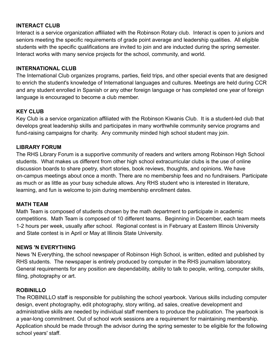## **INTERACT CLUB**

Interact is a service organization affiliated with the Robinson Rotary club. Interact is open to juniors and seniors meeting the specific requirements of grade point average and leadership qualities. All eligible students with the specific qualifications are invited to join and are inducted during the spring semester. Interact works with many service projects for the school, community, and world.

## **INTERNATIONAL CLUB**

The International Club organizes programs, parties, field trips, and other special events that are designed to enrich the student's knowledge of International languages and cultures. Meetings are held during CCR and any student enrolled in Spanish or any other foreign language or has completed one year of foreign language is encouraged to become a club member.

## **KEY CLUB**

Key Club is a service organization affiliated with the Robinson Kiwanis Club. It is a student-led club that develops great leadership skills and participates in many worthwhile community service programs and fund-raising campaigns for charity. Any community minded high school student may join.

## **LIBRARY FORUM**

The RHS Library Forum is a supportive community of readers and writers among Robinson High School students. What makes us different from other high school extracurricular clubs is the use of online discussion boards to share poetry, short stories, book reviews, thoughts, and opinions. We have on-campus meetings about once a month. There are no membership fees and no fundraisers. Participate as much or as little as your busy schedule allows. Any RHS student who is interested in literature, learning, and fun is welcome to join during membership enrollment dates.

## **MATH TEAM**

Math Team is composed of students chosen by the math department to participate in academic competitions. Math Team is composed of 10 different teams. Beginning in December, each team meets 1-2 hours per week, usually after school. Regional contest is in February at Eastern Illinois University and State contest is in April or May at Illinois State University.

## **NEWS 'N EVERYTHING**

News 'N Everything, the school newspaper of Robinson High School, is written, edited and published by RHS students. The newspaper is entirely produced by computer in the RHS journalism laboratory. General requirements for any position are dependability, ability to talk to people, writing, computer skills, filing, photography or art.

## **ROBINILLO**

The ROBINILLO staff is responsible for publishing the school yearbook. Various skills including computer design, event photography, edit photography, story writing, ad sales, creative development and administrative skills are needed by individual staff members to produce the publication. The yearbook is a year-long commitment. Out of school work sessions are a requirement for maintaining membership. Application should be made through the advisor during the spring semester to be eligible for the following school years' staff.